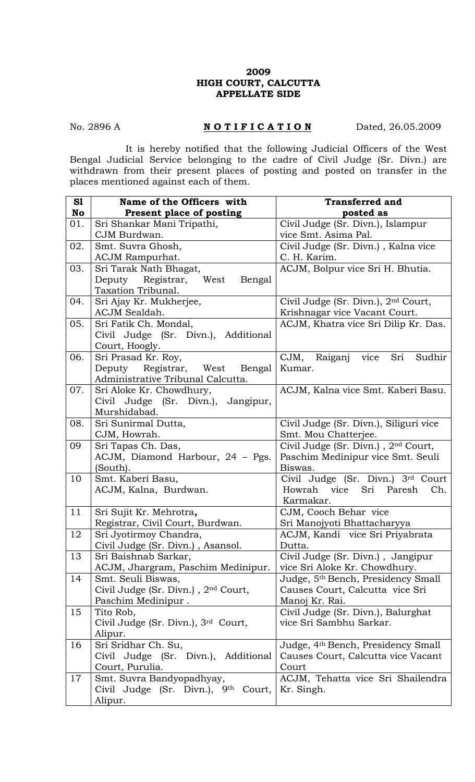## **2009 HIGH COURT, CALCUTTA APPELLATE SIDE**

## No. 2896 A **NOTIFICATION** Dated, 26.05.2009

 It is hereby notified that the following Judicial Officers of the West Bengal Judicial Service belonging to the cadre of Civil Judge (Sr. Divn.) are withdrawn from their present places of posting and posted on transfer in the places mentioned against each of them.

| S1  | Name of the Officers with                                  | <b>Transferred and</b>                                                   |
|-----|------------------------------------------------------------|--------------------------------------------------------------------------|
| No  | Present place of posting                                   | posted as                                                                |
| 01. | Sri Shankar Mani Tripathi,                                 | Civil Judge (Sr. Divn.), Islampur                                        |
|     | CJM Burdwan.                                               | vice Smt. Asima Pal.                                                     |
| 02. | Smt. Suvra Ghosh,                                          | Civil Judge (Sr. Divn.), Kalna vice                                      |
|     | <b>ACJM Rampurhat.</b>                                     | C. H. Karim.                                                             |
| 03. | Sri Tarak Nath Bhagat,                                     | ACJM, Bolpur vice Sri H. Bhutia.                                         |
|     | Deputy Registrar, West<br>Bengal                           |                                                                          |
|     | Taxation Tribunal.                                         |                                                                          |
| 04. | Sri Ajay Kr. Mukherjee,                                    | Civil Judge (Sr. Divn.), 2 <sup>nd</sup> Court,                          |
|     | ACJM Sealdah.                                              | Krishnagar vice Vacant Court.                                            |
| 05. | Sri Fatik Ch. Mondal,                                      | ACJM, Khatra vice Sri Dilip Kr. Das.                                     |
|     | Civil Judge (Sr. Divn.), Additional                        |                                                                          |
|     | Court, Hoogly.                                             |                                                                          |
| 06. | Sri Prasad Kr. Roy,                                        | CJM, Raiganj vice<br>Sri<br>Sudhir                                       |
|     | Deputy Registrar, West Bengal                              | Kumar.                                                                   |
|     | Administrative Tribunal Calcutta.                          |                                                                          |
| 07. | Sri Aloke Kr. Chowdhury,                                   | ACJM, Kalna vice Smt. Kaberi Basu.                                       |
|     | Civil Judge (Sr. Divn.), Jangipur,<br>Murshidabad.         |                                                                          |
| 08. | Sri Sunirmal Dutta,                                        | Civil Judge (Sr. Divn.), Siliguri vice                                   |
|     | CJM, Howrah.                                               | Smt. Mou Chatterjee.                                                     |
| 09  | Sri Tapas Ch. Das,                                         | Civil Judge (Sr. Divn.), 2nd Court,                                      |
|     | ACJM, Diamond Harbour, 24 - Pgs.                           | Paschim Medinipur vice Smt. Seuli                                        |
|     | (South).                                                   | Biswas.                                                                  |
| 10  | Smt. Kaberi Basu,                                          | Civil Judge (Sr. Divn.) 3rd Court                                        |
|     | ACJM, Kalna, Burdwan.                                      | Howrah vice Sri Paresh<br>Ch.                                            |
|     |                                                            | Karmakar.                                                                |
| 11  | Sri Sujit Kr. Mehrotra,                                    | CJM, Cooch Behar vice                                                    |
|     | Registrar, Civil Court, Burdwan.                           | Sri Manojyoti Bhattacharyya                                              |
| 12  | Sri Jyotirmoy Chandra,                                     | ACJM, Kandi vice Sri Priyabrata                                          |
|     | Civil Judge (Sr. Divn.), Asansol.                          | Dutta.                                                                   |
| 13  | Sri Baishnab Sarkar,                                       | Civil Judge (Sr. Divn.), Jangipur                                        |
|     | ACJM, Jhargram, Paschim Medinipur.                         | vice Sri Aloke Kr. Chowdhury.                                            |
| 14  | Smt. Seuli Biswas,                                         | Judge, 5 <sup>th</sup> Bench, Presidency Small                           |
|     | Civil Judge (Sr. Divn.), 2nd Court,                        | Causes Court, Calcutta vice Sri                                          |
|     | Paschim Medinipur.                                         | Manoj Kr. Rai.                                                           |
| 15  | Tito Rob,                                                  | Civil Judge (Sr. Divn.), Balurghat                                       |
|     | Civil Judge (Sr. Divn.), 3rd Court,                        | vice Sri Sambhu Sarkar.                                                  |
| 16  | Alipur.                                                    |                                                                          |
|     | Sri Sridhar Ch. Su,<br>Civil Judge (Sr. Divn.), Additional | Judge, 4th Bench, Presidency Small<br>Causes Court, Calcutta vice Vacant |
|     | Court, Purulia.                                            | Court                                                                    |
| 17  | Smt. Suvra Bandyopadhyay,                                  | ACJM, Tehatta vice Sri Shailendra                                        |
|     | Civil Judge (Sr. Divn.), 9th<br>Court,                     | Kr. Singh.                                                               |
|     | Alipur.                                                    |                                                                          |
|     |                                                            |                                                                          |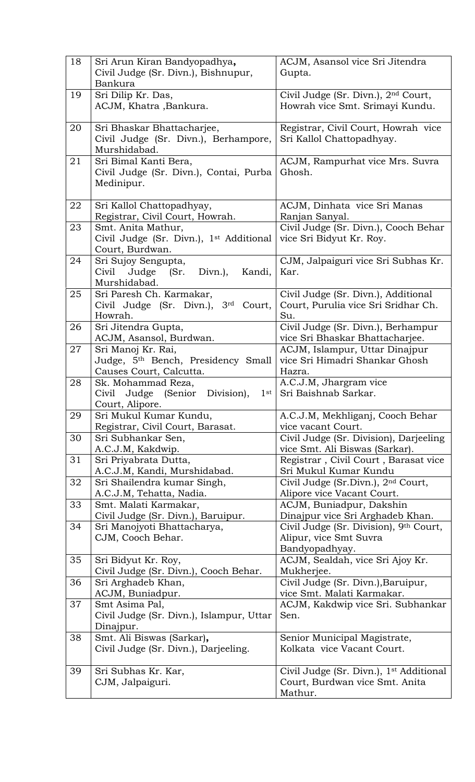| 18 | Sri Arun Kiran Bandyopadhya,                                            | ACJM, Asansol vice Sri Jitendra                                                       |
|----|-------------------------------------------------------------------------|---------------------------------------------------------------------------------------|
|    | Civil Judge (Sr. Divn.), Bishnupur,                                     | Gupta.                                                                                |
|    | Bankura                                                                 |                                                                                       |
| 19 | Sri Dilip Kr. Das,                                                      | Civil Judge (Sr. Divn.), 2 <sup>nd</sup> Court,                                       |
|    | ACJM, Khatra ,Bankura.                                                  | Howrah vice Smt. Srimayi Kundu.                                                       |
|    |                                                                         |                                                                                       |
| 20 | Sri Bhaskar Bhattacharjee,                                              | Registrar, Civil Court, Howrah vice                                                   |
|    | Civil Judge (Sr. Divn.), Berhampore,<br>Murshidabad.                    | Sri Kallol Chattopadhyay.                                                             |
| 21 | Sri Bimal Kanti Bera,                                                   | ACJM, Rampurhat vice Mrs. Suvra                                                       |
|    | Civil Judge (Sr. Divn.), Contai, Purba                                  | Ghosh.                                                                                |
|    | Medinipur.                                                              |                                                                                       |
|    |                                                                         |                                                                                       |
| 22 | Sri Kallol Chattopadhyay,                                               | ACJM, Dinhata vice Sri Manas                                                          |
|    | Registrar, Civil Court, Howrah.                                         | Ranjan Sanyal.                                                                        |
| 23 | Smt. Anita Mathur,                                                      | Civil Judge (Sr. Divn.), Cooch Behar                                                  |
|    | Civil Judge (Sr. Divn.), 1 <sup>st</sup> Additional                     | vice Sri Bidyut Kr. Roy.                                                              |
|    | Court, Burdwan.                                                         |                                                                                       |
| 24 | Sri Sujoy Sengupta,                                                     | CJM, Jalpaiguri vice Sri Subhas Kr.                                                   |
|    | Civil<br>Judge (Sr.<br>Divn.),<br>Kandi,<br>Murshidabad.                | Kar.                                                                                  |
| 25 | Sri Paresh Ch. Karmakar,                                                | Civil Judge (Sr. Divn.), Additional                                                   |
|    | Civil Judge (Sr. Divn.), 3rd Court,                                     | Court, Purulia vice Sri Sridhar Ch.                                                   |
|    | Howrah.                                                                 | Su.                                                                                   |
| 26 | Sri Jitendra Gupta,                                                     | Civil Judge (Sr. Divn.), Berhampur                                                    |
|    | ACJM, Asansol, Burdwan.                                                 | vice Sri Bhaskar Bhattacharjee.                                                       |
| 27 | Sri Manoj Kr. Rai,                                                      | ACJM, Islampur, Uttar Dinajpur                                                        |
|    | Judge, 5th Bench, Presidency Small                                      | vice Sri Himadri Shankar Ghosh                                                        |
|    | Causes Court, Calcutta.                                                 | Hazra.                                                                                |
| 28 | Sk. Mohammad Reza,                                                      | A.C.J.M, Jhargram vice                                                                |
|    | Civil Judge (Senior<br>Division),<br>1 <sup>st</sup><br>Court, Alipore. | Sri Baishnab Sarkar.                                                                  |
| 29 | Sri Mukul Kumar Kundu,                                                  | A.C.J.M, Mekhliganj, Cooch Behar                                                      |
|    | Registrar, Civil Court, Barasat.                                        | vice vacant Court.                                                                    |
| 30 | Sri Subhankar Sen,                                                      | Civil Judge (Sr. Division), Darjeeling                                                |
|    | A.C.J.M, Kakdwip.                                                       | vice Smt. Ali Biswas (Sarkar).                                                        |
| 31 | Sri Priyabrata Dutta,                                                   | Registrar, Civil Court, Barasat vice                                                  |
|    | A.C.J.M, Kandi, Murshidabad.                                            | Sri Mukul Kumar Kundu                                                                 |
| 32 | Sri Shailendra kumar Singh,                                             | Civil Judge (Sr.Divn.), 2 <sup>nd</sup> Court,                                        |
|    | A.C.J.M, Tehatta, Nadia.                                                | Alipore vice Vacant Court.                                                            |
| 33 | Smt. Malati Karmakar,                                                   | ACJM, Buniadpur, Dakshin                                                              |
|    | Civil Judge (Sr. Divn.), Baruipur.                                      | Dinajpur vice Sri Arghadeb Khan.                                                      |
| 34 | Sri Manojyoti Bhattacharya,                                             | Civil Judge (Sr. Division), 9th Court,                                                |
|    | CJM, Cooch Behar.                                                       | Alipur, vice Smt Suvra<br>Bandyopadhyay.                                              |
| 35 | Sri Bidyut Kr. Roy,                                                     | ACJM, Sealdah, vice Sri Ajoy Kr.                                                      |
|    | Civil Judge (Sr. Divn.), Cooch Behar.                                   | Mukherjee.                                                                            |
| 36 | Sri Arghadeb Khan,                                                      | Civil Judge (Sr. Divn.), Baruipur,                                                    |
|    | ACJM, Buniadpur.                                                        | vice Smt. Malati Karmakar.                                                            |
| 37 | Smt Asima Pal,                                                          | ACJM, Kakdwip vice Sri. Subhankar                                                     |
|    | Civil Judge (Sr. Divn.), Islampur, Uttar                                | Sen.                                                                                  |
|    | Dinajpur.                                                               |                                                                                       |
| 38 | Smt. Ali Biswas (Sarkar),                                               | Senior Municipal Magistrate,                                                          |
|    | Civil Judge (Sr. Divn.), Darjeeling.                                    | Kolkata vice Vacant Court.                                                            |
| 39 | Sri Subhas Kr. Kar,                                                     |                                                                                       |
|    | CJM, Jalpaiguri.                                                        | Civil Judge (Sr. Divn.), 1 <sup>st</sup> Additional<br>Court, Burdwan vice Smt. Anita |
|    |                                                                         | Mathur.                                                                               |